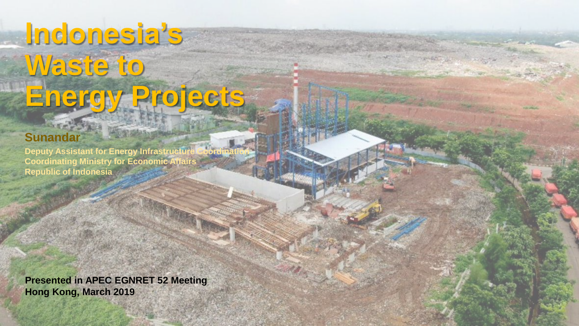# **Indonesia's Waste to Energy Projects**

### **Sunandar**

**Deputy Assistant for Energy Infrastructure Coordinating Ministry for Economic Affairs Republic of Indonesia**

**Presented in APEC EGNRET 52 Meeting Hong Kong, March 2019**

**1**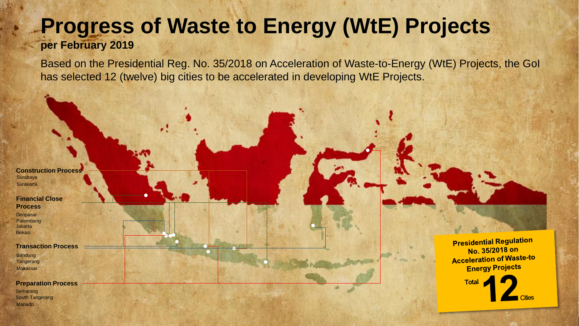## **Progress of Waste to Energy (WtE) Projects**

### **per February 2019**

Based on the Presidential Reg. No. 35/2018 on Acceleration of Waste-to-Energy (WtE) Projects, the GoI has selected 12 (twelve) big cities to be accelerated in developing WtE Projects.

**Surakarta** Surabaya **Construction Process**

**Financial Close Process**

**Denpasar** Bekasi **Jakarta** Palembang

**Transaction Process**

Tangerang Bandung Makassar

Manado South Tangerang **Semarang Preparation Process**

**Presidential Regulation** No. 35/2018 on **Acceleration of Waste-to Energy Projects** 

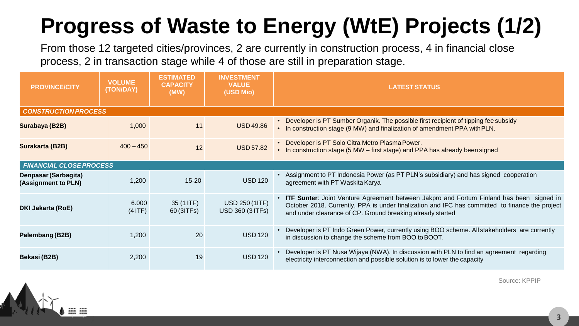## **Progress of Waste to Energy (WtE) Projects (1/2)**

From those 12 targeted cities/provinces, 2 are currently in construction process, 4 in financial close process, 2 in transaction stage while 4 of those are still in preparation stage.

| <b>PROVINCE/CITY</b>                        | <b>VOLUME</b><br>(TON/DAY) | <b>ESTIMATED</b><br><b>CAPACITY</b><br>(MW) | <b>INVESTMENT</b><br><b>VALUE</b><br>(USD Mio)   | <b>LATEST STATUS</b>                                                                                                                                                                                                                                        |  |  |  |
|---------------------------------------------|----------------------------|---------------------------------------------|--------------------------------------------------|-------------------------------------------------------------------------------------------------------------------------------------------------------------------------------------------------------------------------------------------------------------|--|--|--|
| <b>CONSTRUCTION PROCESS</b>                 |                            |                                             |                                                  |                                                                                                                                                                                                                                                             |  |  |  |
| Surabaya (B2B)                              | 1,000                      | 11                                          | <b>USD 49.86</b>                                 | Developer is PT Sumber Organik. The possible first recipient of tipping fee subsidy<br>• In construction stage (9 MW) and finalization of amendment PPA with PLN.                                                                                           |  |  |  |
| Surakarta (B2B)                             | $400 - 450$                | 12                                          | <b>USD 57.82</b>                                 | Developer is PT Solo Citra Metro Plasma Power.<br>• In construction stage (5 MW – first stage) and PPA has already been signed                                                                                                                              |  |  |  |
| <b>FINANCIAL CLOSE PROCESS</b>              |                            |                                             |                                                  |                                                                                                                                                                                                                                                             |  |  |  |
| Denpasar (Sarbagita)<br>(Assignment to PLN) | 1,200                      | $15 - 20$                                   | <b>USD 120</b>                                   | • Assignment to PT Indonesia Power (as PT PLN's subsidiary) and has signed cooperation<br>agreement with PT Waskita Karya                                                                                                                                   |  |  |  |
| <b>DKI Jakarta (RoE)</b>                    | 6.000<br>(4 ITF)           | 35 (1 ITF)<br>60 (3ITFs)                    | <b>USD 250 (1ITF)</b><br><b>USD 360 (3 ITFs)</b> | • ITF Sunter: Joint Venture Agreement between Jakpro and Fortum Finland has been signed in<br>October 2018. Currently, PPA is under finalization and IFC has committed to finance the project<br>and under clearance of CP. Ground breaking already started |  |  |  |
| Palembang (B2B)                             | 1,200                      | 20                                          | <b>USD 120</b>                                   | Developer is PT Indo Green Power, currently using BOO scheme. All stakeholders are currently<br>in discussion to change the scheme from BOO to BOOT.                                                                                                        |  |  |  |
| Bekasi (B2B)                                | 2,200                      | 19                                          | <b>USD 120</b>                                   | Developer is PT Nusa Wijaya (NWA). In discussion with PLN to find an agreement regarding<br>electricity interconnection and possible solution is to lower the capacity                                                                                      |  |  |  |



Source: KPPIP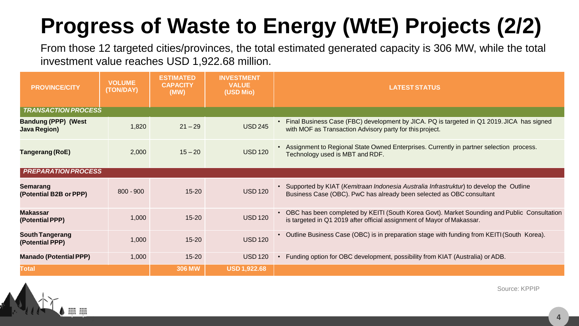## **Progress of Waste to Energy (WtE) Projects (2/2)**

From those 12 targeted cities/provinces, the total estimated generated capacity is 306 MW, while the total investment value reaches USD 1,922.68 million.

| <b>PROVINCE/CITY</b>                              | <b>VOLUME</b><br>(TON/DAY) | <b>ESTIMATED</b><br><b>CAPACITY</b><br>(MW) | <b>INVESTMENT</b><br><b>VALUE</b><br>(USD Mio) | <b>LATEST STATUS</b>                                                                                                                                                    |  |  |  |
|---------------------------------------------------|----------------------------|---------------------------------------------|------------------------------------------------|-------------------------------------------------------------------------------------------------------------------------------------------------------------------------|--|--|--|
| <b>TRANSACTION PROCESS</b>                        |                            |                                             |                                                |                                                                                                                                                                         |  |  |  |
| <b>Bandung (PPP) (West</b><br><b>Java Region)</b> | 1,820                      | $21 - 29$                                   | <b>USD 245</b>                                 | • Final Business Case (FBC) development by JICA. PQ is targeted in Q1 2019. JICA has signed<br>with MOF as Transaction Advisory party for this project.                 |  |  |  |
| Tangerang (RoE)                                   | 2,000                      | $15 - 20$                                   | <b>USD 120</b>                                 | • Assignment to Regional State Owned Enterprises. Currently in partner selection process.<br>Technology used is MBT and RDF.                                            |  |  |  |
| <b>PREPARATION PROCESS</b>                        |                            |                                             |                                                |                                                                                                                                                                         |  |  |  |
| <b>Semarang</b><br>(Potential B2B or PPP)         | $800 - 900$                | $15 - 20$                                   | <b>USD 120</b>                                 | • Supported by KIAT (Kemitraan Indonesia Australia Infrastruktur) to develop the Outline<br>Business Case (OBC). PwC has already been selected as OBC consultant        |  |  |  |
| <b>Makassar</b><br>(Potential PPP)                | 1,000                      | $15 - 20$                                   | <b>USD 120</b>                                 | • OBC has been completed by KEITI (South Korea Govt). Market Sounding and Public Consultation<br>is targeted in Q1 2019 after official assignment of Mayor of Makassar. |  |  |  |
| <b>South Tangerang</b><br>(Potential PPP)         | 1,000                      | $15 - 20$                                   | <b>USD 120</b>                                 | Outline Business Case (OBC) is in preparation stage with funding from KEITI (South Korea).                                                                              |  |  |  |
| <b>Manado (Potential PPP)</b>                     | 1,000                      | $15 - 20$                                   | <b>USD 120</b>                                 | Funding option for OBC development, possibility from KIAT (Australia) or ADB.                                                                                           |  |  |  |
| <b>Total</b>                                      |                            | <b>306 MW</b>                               | <b>USD 1,922.68</b>                            |                                                                                                                                                                         |  |  |  |



Source: KPPIP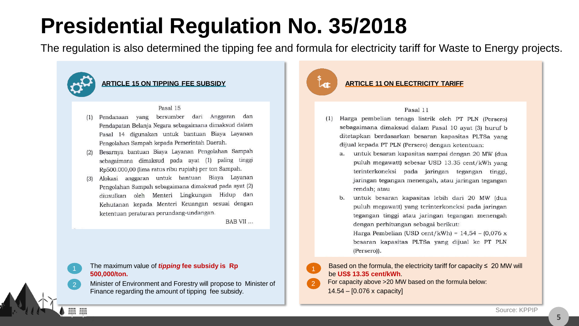### **Presidential Regulation No. 35/2018**

The regulation is also determined the tipping fee and formula for electricity tariff for Waste to Energy projects.



:

#### **ARTICLE 15 ON TIPPING FEE SUBSIDY**

#### Pasal 15

- Pendanaan yang bersumber dari Anggaran dan Pendapatan Belanja Negara sebagaimana dimaksud dalam Pasal 14 digunakan untuk bantuan Biaya Layanan Pengolahan Sampah kepada Pemerintah Daerah.
- Besarnya bantuan Biaya Layanan Pengolahan Sampah  $(2)$ sebagaimana dimaksud pada ayat (1) paling tinggi Rp500.000,00 (lima ratus ribu rupiah) per ton Sampah.
- Alokasi anggaran untuk bantuan Biaya Layanan  $(3)$ Pengolahan Sampah sebagaimana dimaksud pada ayat (2) diusulkan oleh Menteri Lingkungan Hidup dan Kehutanan kepada Menteri Keuangan sesuai dengan ketentuan peraturan perundang-undangan.

BAB VII...

#### The maximum value of *tipping* **fee subsidy is Rp 500,000/ton.**

2 Minister of Environment and Forestry will propose to Minister of Finance regarding the amount of tipping fee subsidy.



2

#### **ARTICLE 11 ON ELECTRICITY TARIFF**

#### Pasal 11

- Harga pembelian tenaga listrik oleh PT PLN (Persero)  $(1)$ sebagaimana dimaksud dalam Pasal 10 ayat (3) huruf b ditetapkan berdasarkan besaran kapasitas PLTSa yang dijual kepada PT PLN (Persero) dengan ketentuan:
	- untuk besaran kapasitas sampai dengan 20 MW (dua puluh megawatt) sebesar USD 13.35 cent/kWh yang terinterkoneksi pada jaringan tegangan tinggi, jaringan tegangan menengah, atau jaringan tegangan rendah; atau
	- untuk besaran kapasitas lebih dari 20 MW (dua puluh megawatt) yang terinterkoneksi pada jaringan tegangan tinggi atau jaringan tegangan menengah dengan perhitungan sebagai berikut: Harga Pembelian (USD cent/kWh) =  $14,54 - (0,076 \text{ x})$ besaran kapasitas PLTSa yang dijual ke PT PLN

(Persero)).

#### Based on the formula, the electricity tariff for capacity  $\leq 20$  MW will be **US\$ 13.35 cent/kWh**.

For capacity above >20 MW based on the formula below: 14.54 – [0.076 x capacity]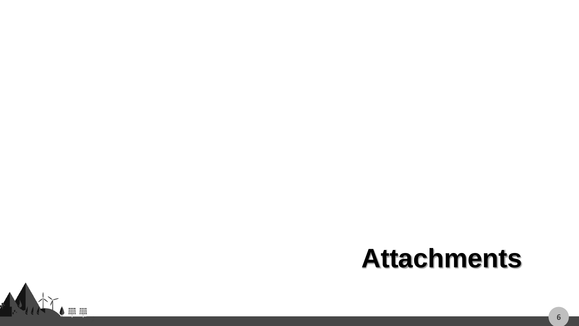## **Attachments**

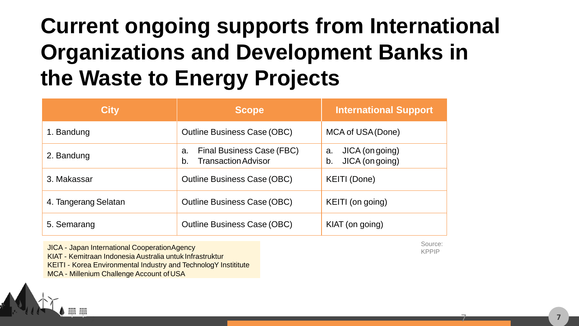### **Current ongoing supports from International Organizations and Development Banks in the Waste to Energy Projects**

| <b>City</b>          | <b>Scope</b>                                                        | <b>International Support</b>                   |
|----------------------|---------------------------------------------------------------------|------------------------------------------------|
| 1. Bandung           | <b>Outline Business Case (OBC)</b>                                  | MCA of USA (Done)                              |
| 2. Bandung           | Final Business Case (FBC)<br>a.<br><b>Transaction Advisor</b><br>b. | JICA (on going)<br>a.<br>JICA (on going)<br>b. |
| 3. Makassar          | <b>Outline Business Case (OBC)</b>                                  | <b>KEITI (Done)</b>                            |
| 4. Tangerang Selatan | <b>Outline Business Case (OBC)</b>                                  | KEITI (on going)                               |
| 5. Semarang          | <b>Outline Business Case (OBC)</b>                                  | KIAT (on going)                                |

JICA - Japan International CooperationAgency

KIAT - Kemitraan Indonesia Australia untuk Infrastruktur

KEITI - Korea Environmental Industry and TechnologY Instititute

MCA - Millenium Challenge Account of USA

Source: KPPIP

7